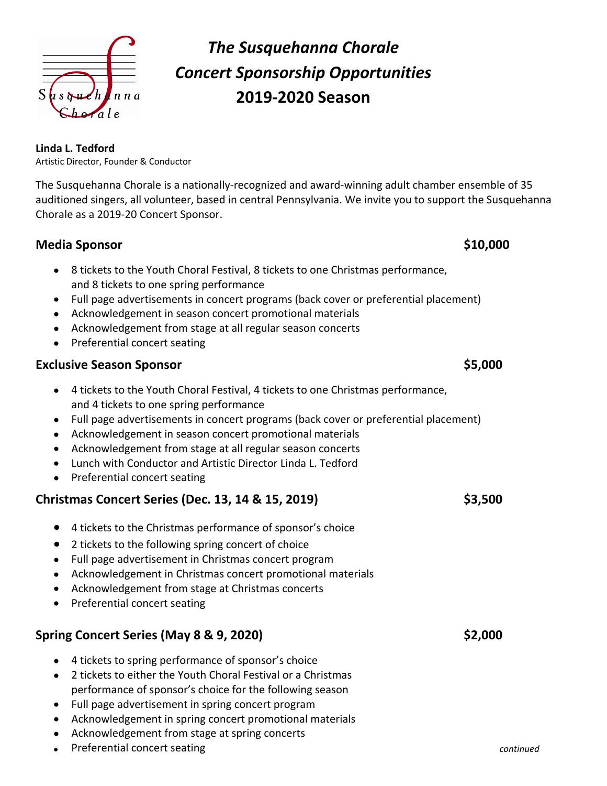

# *The Susquehanna Chorale Concert Sponsorship Opportunities* **2019-2020 Season**

#### **Linda L. Tedford**

Artistic Director, Founder & Conductor

The Susquehanna Chorale is a nationally-recognized and award-winning adult chamber ensemble of 35 auditioned singers, all volunteer, based in central Pennsylvania. We invite you to support the Susquehanna Chorale as a 2019-20 Concert Sponsor.

## **Media Sponsor \$10,000**

- 8 tickets to the Youth Choral Festival, 8 tickets to one Christmas performance, and 8 tickets to one spring performance
- Full page advertisements in concert programs (back cover or preferential placement)
- Acknowledgement in season concert promotional materials
- Acknowledgement from stage at all regular season concerts
- Preferential concert seating

## **Exclusive Season Sponsor \$5,000**

- 4 tickets to the Youth Choral Festival, 4 tickets to one Christmas performance, and 4 tickets to one spring performance
- Full page advertisements in concert programs (back cover or preferential placement)
- Acknowledgement in season concert promotional materials
- Acknowledgement from stage at all regular season concerts
- Lunch with Conductor and Artistic Director Linda L. Tedford
- Preferential concert seating

## **Christmas Concert Series (Dec. 13, 14 & 15, 2019) \$3,500**

- 4 tickets to the Christmas performance of sponsor's choice
- 2 tickets to the following spring concert of choice
- Full page advertisement in Christmas concert program
- Acknowledgement in Christmas concert promotional materials
- Acknowledgement from stage at Christmas concerts
- Preferential concert seating

## **Spring Concert Series (May 8 & 9, 2020) \$2,000**

- 4 tickets to spring performance of sponsor's choice
- 2 tickets to either the Youth Choral Festival or a Christmas performance of sponsor's choice for the following season
- Full page advertisement in spring concert program
- Acknowledgement in spring concert promotional materials
- Acknowledgement from stage at spring concerts
- Preferential concert seating **continued continued**